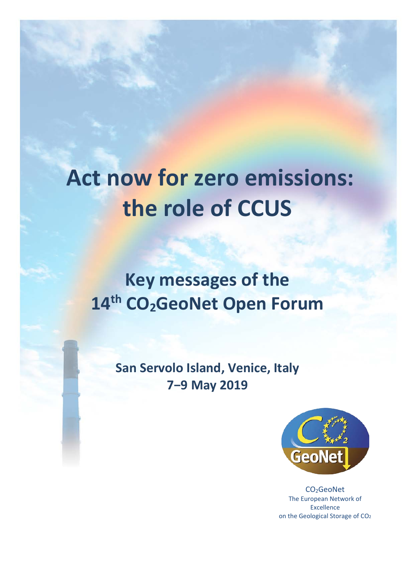# **Act now for zero emissions: the role of CCUS**

**Key messages of the 14th CO2GeoNet Open Forum** 

> **San Servolo Island, Venice, Italy 7−9 May 2019**



CO2GeoNet The European Network of Excellence on the Geological Storage of CO2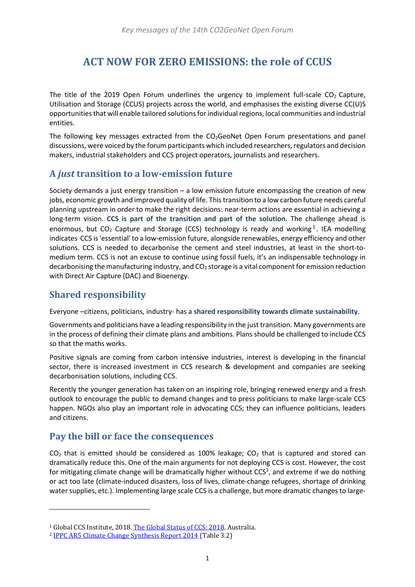## **ACT NOW FOR ZERO EMISSIONS: the role of CCUS**

The title of the 2019 Open Forum underlines the urgency to implement full-scale  $CO<sub>2</sub>$  Capture, Utilisation and Storage (CCUS) projects across the world, and emphasises the existing diverse CC(U)S opportunities that will enable tailored solutions for individual regions, local communities and industrial entities.

The following key messages extracted from the  $CO<sub>2</sub>Geon$ et Open Forum presentations and panel discussions, were voiced by the forum participants which included researchers, regulators and decision makers, industrial stakeholders and CCS project operators, journalists and researchers.

#### **A** *just* **transition to a low-emission future**

Society demands a just energy transition  $-$  a low emission future encompassing the creation of new jobs, economic growth and improved quality of life. This transition to a low carbon future needs careful planning upstream in order to make the right decisions: near-term actions are essential in achieving a long-term vision. **CCS is part of the transition and part of the solution.** The challenge ahead is enormous, but  $CO<sub>2</sub>$  Capture and Storage (CCS) technology is ready and working<sup>[1](#page-1-0)</sup>. IEA modelling indicates CCS is 'essential' to a low-emission future, alongside renewables, energy efficiency and other solutions. CCS is needed to decarbonise the cement and steel industries, at least in the short-tomedium term. CCS is not an excuse to continue using fossil fuels, it's an indispensable technology in decarbonising the manufacturing industry, and  $CO<sub>2</sub>$  storage is a vital component for emission reduction with Direct Air Capture (DAC) and Bioenergy.

#### **Shared responsibility**

i<br>I

Everyone –citizens, politicians, industry- has a **shared responsibility towards climate sustainability**.

Governments and politicians have a leading responsibility in the just transition. Many governments are in the process of defining their climate plans and ambitions. Plans should be challenged to include CCS so that the maths works.

Positive signals are coming from carbon intensive industries, interest is developing in the financial sector, there is increased investment in CCS research & development and companies are seeking decarbonisation solutions, including CCS.

Recently the younger generation has taken on an inspiring role, bringing renewed energy and a fresh outlook to encourage the public to demand changes and to press politicians to make large-scale CCS happen. NGOs also play an important role in advocating CCS; they can influence politicians, leaders and citizens.

#### **Pay the bill or face the consequences**

 $CO<sub>2</sub>$  that is emitted should be considered as 100% leakage;  $CO<sub>2</sub>$  that is captured and stored can dramatically reduce this. One of the main arguments for not deploying CCS is cost. However, the cost for mitigating climate change will be dramatically higher without CCS<sup>[2](#page-1-1)</sup>, and extreme if we do nothing or act too late (climate-induced disasters, loss of lives, climate-change refugees, shortage of drinking water supplies, etc.). Implementing large scale CCS is a challenge, but more dramatic changes to large-

<span id="page-1-0"></span><sup>&</sup>lt;sup>1</sup> Global CCS Institute, 2018[. The Global Status of CCS: 2018.](https://www.globalccsinstitute.com/resources/global-status-report/) Australia.

<span id="page-1-1"></span><sup>2</sup> [IPPC AR5 Climate Change Synthesis Report 2014](https://archive.ipcc.ch/pdf/assessment-report/ar5/syr/SYR_AR5_FINAL_full_wcover.pdf) (Table 3.2)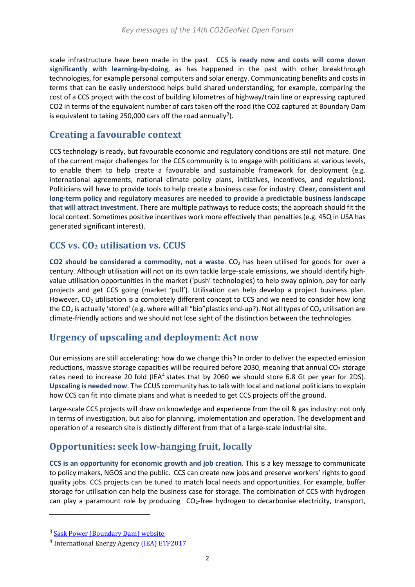scale infrastructure have been made in the past. **CCS is ready now and costs will come down significantly with learning-by-doing**, as has happened in the past with other breakthrough technologies, for example personal computers and solar energy. Communicating benefits and costs in terms that can be easily understood helps build shared understanding, for example, comparing the cost of a CCS project with the cost of building kilometres of highway/train line or expressing captured CO2 in terms of the equivalent number of cars taken off the road (the CO2 captured at Boundary Dam is equivalent to taking 250,000 cars off the road annually<sup>[3](#page-2-0)</sup>).

#### **Creating a favourable context**

CCS technology is ready, but favourable economic and regulatory conditions are still not mature. One of the current major challenges for the CCS community is to engage with politicians at various levels, to enable them to help create a favourable and sustainable framework for deployment (e.g. international agreements, national climate policy plans, initiatives, incentives, and regulations). Politicians will have to provide tools to help create a business case for industry. **Clear, consistent and long-term policy and regulatory measures are needed to provide a predictable business landscape that will attract investment**. There are multiple pathways to reduce costs; the approach should fit the local context. Sometimes positive incentives work more effectively than penalties (e.g. 45Q in USA has generated significant interest).

#### **CCS vs. CO2 utilisation vs. CCUS**

**CO2 should be considered a commodity, not a waste**. CO2 has been utilised for goods for over a century. Although utilisation will not on its own tackle large-scale emissions, we should identify highvalue utilisation opportunities in the market ('push' technologies) to help sway opinion, pay for early projects and get CCS going (market 'pull'). Utilisation can help develop a project business plan. However, CO<sub>2</sub> utilisation is a completely different concept to CCS and we need to consider how long the CO<sub>2</sub> is actually 'stored' (e.g. where will all "bio" plastics end-up?). Not all types of CO<sub>2</sub> utilisation are climate-friendly actions and we should not lose sight of the distinction between the technologies.

#### **Urgency of upscaling and deployment: Act now**

Our emissions are still accelerating: how do we change this? In order to deliver the expected emission reductions, massive storage capacities will be required before 2030, meaning that annual  $CO<sub>2</sub>$  storage rates need to increase 20 fold (IEA<sup>[4](#page-2-1)</sup> states that by 2060 we should store 6.8 Gt per year for 2DS). **Upscaling is needed now**. The CCUS community has to talk with local and national politicians to explain how CCS can fit into climate plans and what is needed to get CCS projects off the ground.

Large-scale CCS projects will draw on knowledge and experience from the oil & gas industry: not only in terms of investigation, but also for planning, implementation and operation. The development and operation of a research site is distinctly different from that of a large-scale industrial site.

## **Opportunities: seek low-hanging fruit, locally**

**CCS is an opportunity for economic growth and job creation**. This is a key message to communicate to policy makers, NGOS and the public. CCS can create new jobs and preserve workers' rights to good quality jobs. CCS projects can be tuned to match local needs and opportunities. For example, buffer storage for utilisation can help the business case for storage. The combination of CCS with hydrogen can play a paramount role by producing CO<sub>2</sub>-free hydrogen to decarbonise electricity, transport,

i<br>I

<span id="page-2-0"></span><sup>3</sup> [Sask Power \(Boundary Dam\) website](https://www.saskpower.com/Our-Power-Future/Our-Electricity/Electrical-System/System-Map/Boundary-Dam-Power-Station)

<span id="page-2-1"></span><sup>&</sup>lt;sup>4</sup> International Energy Agency (IEA) [ETP2017](https://webstore.iea.org/download/direct/1058?fileName=Energy_Technology_Perspectives_2017.pdf)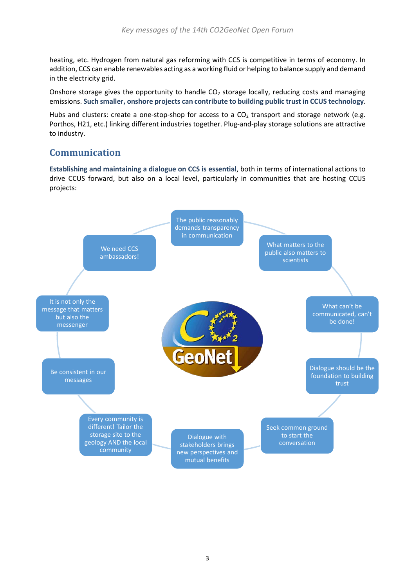heating, etc. Hydrogen from natural gas reforming with CCS is competitive in terms of economy. In addition, CCS can enable renewables acting as a working fluid or helping to balance supply and demand in the electricity grid.

Onshore storage gives the opportunity to handle  $CO<sub>2</sub>$  storage locally, reducing costs and managing emissions. **Such smaller, onshore projects can contribute to building public trust in CCUS technology**.

Hubs and clusters: create a one-stop-shop for access to a  $CO<sub>2</sub>$  transport and storage network (e.g. Porthos, H21, etc.) linking different industries together. Plug-and-play storage solutions are attractive to industry.

## **Communication**

**Establishing and maintaining a dialogue on CCS is essential**, both in terms of international actions to drive CCUS forward, but also on a local level, particularly in communities that are hosting CCUS projects:

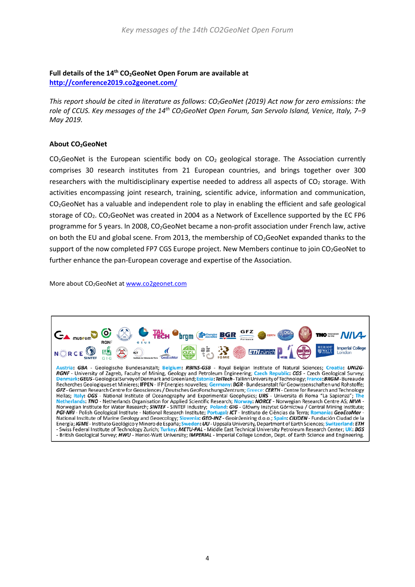#### **Full details of the 14th CO2GeoNet Open Forum are available at <http://conference2019.co2geonet.com/>**

*This report should be cited in literature as follows: CO2GeoNet (2019) Act now for zero emissions: the role of CCUS. Key messages of the 14th CO2GeoNet Open Forum, San Servolo Island, Venice, Italy, 7−9 May 2019.*

#### **About CO2GeoNet**

CO<sub>2</sub>GeoNet is the European scientific body on CO<sub>2</sub> geological storage. The Association currently comprises 30 research institutes from 21 European countries, and brings together over 300 researchers with the multidisciplinary expertise needed to address all aspects of  $CO<sub>2</sub>$  storage. With activities encompassing joint research, training, scientific advice, information and communication, CO2GeoNet has a valuable and independent role to play in enabling the efficient and safe geological storage of CO2. CO2GeoNet was created in 2004 as a Network of Excellence supported by the EC FP6 programme for 5 years. In 2008, CO2GeoNet became a non-profit association under French law, active on both the EU and global scene. From 2013, the membership of CO<sub>2</sub>GeoNet expanded thanks to the support of the now completed FP7 CGS Europe project. New Members continue to join CO<sub>2</sub>GeoNet to further enhance the pan-European coverage and expertise of the Association.

More about CO2GeoNet at [www.co2geonet.com](http://www.co2geonet.com/)